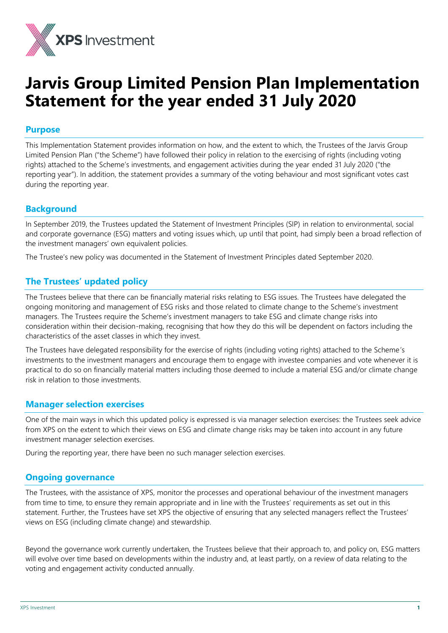

# **Jarvis Group Limited Pension Plan Implementation Statement for the year ended 31 July 2020**

## **Purpose**

This Implementation Statement provides information on how, and the extent to which, the Trustees of the Jarvis Group Limited Pension Plan ("the Scheme") have followed their policy in relation to the exercising of rights (including voting rights) attached to the Scheme's investments, and engagement activities during the year ended 31 July 2020 ("the reporting year"). In addition, the statement provides a summary of the voting behaviour and most significant votes cast during the reporting year.

## **Background**

In September 2019, the Trustees updated the Statement of Investment Principles (SIP) in relation to environmental, social and corporate governance (ESG) matters and voting issues which, up until that point, had simply been a broad reflection of the investment managers' own equivalent policies.

The Trustee's new policy was documented in the Statement of Investment Principles dated September 2020.

## **The Trustees' updated policy**

The Trustees believe that there can be financially material risks relating to ESG issues. The Trustees have delegated the ongoing monitoring and management of ESG risks and those related to climate change to the Scheme's investment managers. The Trustees require the Scheme's investment managers to take ESG and climate change risks into consideration within their decision-making, recognising that how they do this will be dependent on factors including the characteristics of the asset classes in which they invest.

The Trustees have delegated responsibility for the exercise of rights (including voting rights) attached to the Scheme's investments to the investment managers and encourage them to engage with investee companies and vote whenever it is practical to do so on financially material matters including those deemed to include a material ESG and/or climate change risk in relation to those investments.

#### **Manager selection exercises**

One of the main ways in which this updated policy is expressed is via manager selection exercises: the Trustees seek advice from XPS on the extent to which their views on ESG and climate change risks may be taken into account in any future investment manager selection exercises.

During the reporting year, there have been no such manager selection exercises.

## **Ongoing governance**

The Trustees, with the assistance of XPS, monitor the processes and operational behaviour of the investment managers from time to time, to ensure they remain appropriate and in line with the Trustees' requirements as set out in this statement. Further, the Trustees have set XPS the objective of ensuring that any selected managers reflect the Trustees' views on ESG (including climate change) and stewardship.

Beyond the governance work currently undertaken, the Trustees believe that their approach to, and policy on, ESG matters will evolve over time based on developments within the industry and, at least partly, on a review of data relating to the voting and engagement activity conducted annually.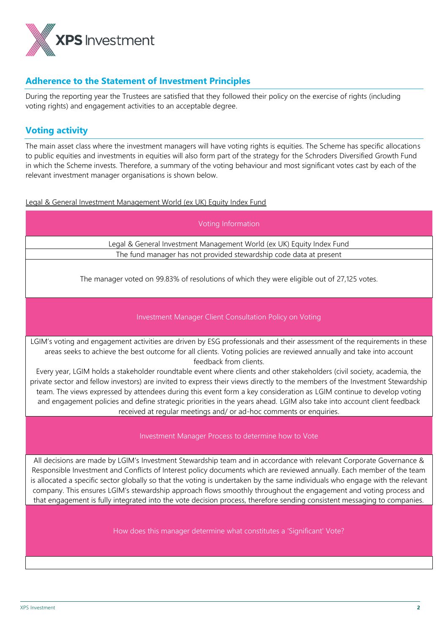

## **Adherence to the Statement of Investment Principles**

During the reporting year the Trustees are satisfied that they followed their policy on the exercise of rights (including voting rights) and engagement activities to an acceptable degree.

## **Voting activity**

The main asset class where the investment managers will have voting rights is equities. The Scheme has specific allocations to public equities and investments in equities will also form part of the strategy for the Schroders Diversified Growth Fund in which the Scheme invests. Therefore, a summary of the voting behaviour and most significant votes cast by each of the relevant investment manager organisations is shown below.

Legal & General Investment Management World (ex UK) Equity Index Fund

| Voting Information                                                                                                                                                                                                                                                                                                                                                                                                                                                                                                                                                                                                              |  |  |  |
|---------------------------------------------------------------------------------------------------------------------------------------------------------------------------------------------------------------------------------------------------------------------------------------------------------------------------------------------------------------------------------------------------------------------------------------------------------------------------------------------------------------------------------------------------------------------------------------------------------------------------------|--|--|--|
| Legal & General Investment Management World (ex UK) Equity Index Fund                                                                                                                                                                                                                                                                                                                                                                                                                                                                                                                                                           |  |  |  |
| The fund manager has not provided stewardship code data at present                                                                                                                                                                                                                                                                                                                                                                                                                                                                                                                                                              |  |  |  |
| The manager voted on 99.83% of resolutions of which they were eligible out of 27,125 votes.                                                                                                                                                                                                                                                                                                                                                                                                                                                                                                                                     |  |  |  |
| Investment Manager Client Consultation Policy on Voting                                                                                                                                                                                                                                                                                                                                                                                                                                                                                                                                                                         |  |  |  |
| LGIM's voting and engagement activities are driven by ESG professionals and their assessment of the requirements in these<br>areas seeks to achieve the best outcome for all clients. Voting policies are reviewed annually and take into account<br>feedback from clients.                                                                                                                                                                                                                                                                                                                                                     |  |  |  |
| Every year, LGIM holds a stakeholder roundtable event where clients and other stakeholders (civil society, academia, the<br>private sector and fellow investors) are invited to express their views directly to the members of the Investment Stewardship<br>team. The views expressed by attendees during this event form a key consideration as LGIM continue to develop voting<br>and engagement policies and define strategic priorities in the years ahead. LGIM also take into account client feedback<br>received at regular meetings and/ or ad-hoc comments or enquiries.                                              |  |  |  |
| Investment Manager Process to determine how to Vote                                                                                                                                                                                                                                                                                                                                                                                                                                                                                                                                                                             |  |  |  |
| All decisions are made by LGIM's Investment Stewardship team and in accordance with relevant Corporate Governance &<br>Responsible Investment and Conflicts of Interest policy documents which are reviewed annually. Each member of the team<br>is allocated a specific sector globally so that the voting is undertaken by the same individuals who engage with the relevant<br>company. This ensures LGIM's stewardship approach flows smoothly throughout the engagement and voting process and<br>that engagement is fully integrated into the vote decision process, therefore sending consistent messaging to companies. |  |  |  |
| How does this manager determine what constitutes a 'Significant' Vote?                                                                                                                                                                                                                                                                                                                                                                                                                                                                                                                                                          |  |  |  |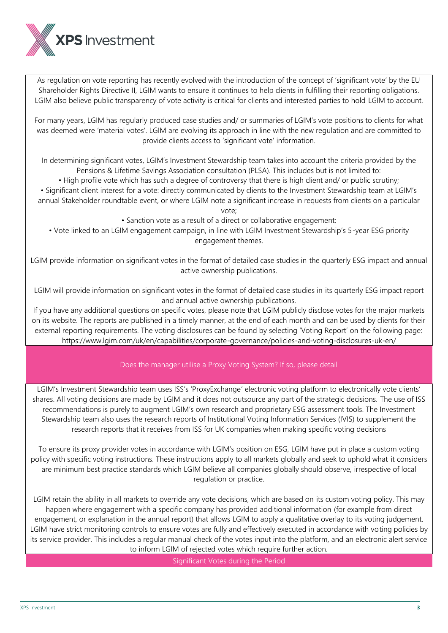

As regulation on vote reporting has recently evolved with the introduction of the concept of 'significant vote' by the EU Shareholder Rights Directive II, LGIM wants to ensure it continues to help clients in fulfilling their reporting obligations. LGIM also believe public transparency of vote activity is critical for clients and interested parties to hold LGIM to account.

For many years, LGIM has regularly produced case studies and/ or summaries of LGIM's vote positions to clients for what was deemed were 'material votes'. LGIM are evolving its approach in line with the new regulation and are committed to provide clients access to 'significant vote' information.

In determining significant votes, LGIM's Investment Stewardship team takes into account the criteria provided by the Pensions & Lifetime Savings Association consultation (PLSA). This includes but is not limited to:

• High profile vote which has such a degree of controversy that there is high client and/ or public scrutiny;

• Significant client interest for a vote: directly communicated by clients to the Investment Stewardship team at LGIM's annual Stakeholder roundtable event, or where LGIM note a significant increase in requests from clients on a particular vote;

• Sanction vote as a result of a direct or collaborative engagement;

• Vote linked to an LGIM engagement campaign, in line with LGIM Investment Stewardship's 5-year ESG priority engagement themes.

LGIM provide information on significant votes in the format of detailed case studies in the quarterly ESG impact and annual active ownership publications.

LGIM will provide information on significant votes in the format of detailed case studies in its quarterly ESG impact report and annual active ownership publications.

If you have any additional questions on specific votes, please note that LGIM publicly disclose votes for the major markets on its website. The reports are published in a timely manner, at the end of each month and can be used by clients for their external reporting requirements. The voting disclosures can be found by selecting 'Voting Report' on the following page: https://www.lgim.com/uk/en/capabilities/corporate-governance/policies-and-voting-disclosures-uk-en/

Does the manager utilise a Proxy Voting System? If so, please detail

LGIM's Investment Stewardship team uses ISS's 'ProxyExchange' electronic voting platform to electronically vote clients' shares. All voting decisions are made by LGIM and it does not outsource any part of the strategic decisions. The use of ISS recommendations is purely to augment LGIM's own research and proprietary ESG assessment tools. The Investment Stewardship team also uses the research reports of Institutional Voting Information Services (IVIS) to supplement the research reports that it receives from ISS for UK companies when making specific voting decisions

To ensure its proxy provider votes in accordance with LGIM's position on ESG, LGIM have put in place a custom voting policy with specific voting instructions. These instructions apply to all markets globally and seek to uphold what it considers are minimum best practice standards which LGIM believe all companies globally should observe, irrespective of local regulation or practice.

LGIM retain the ability in all markets to override any vote decisions, which are based on its custom voting policy. This may happen where engagement with a specific company has provided additional information (for example from direct engagement, or explanation in the annual report) that allows LGIM to apply a qualitative overlay to its voting judgement. LGIM have strict monitoring controls to ensure votes are fully and effectively executed in accordance with voting policies by its service provider. This includes a regular manual check of the votes input into the platform, and an electronic alert service to inform LGIM of rejected votes which require further action.

Significant Votes during the Period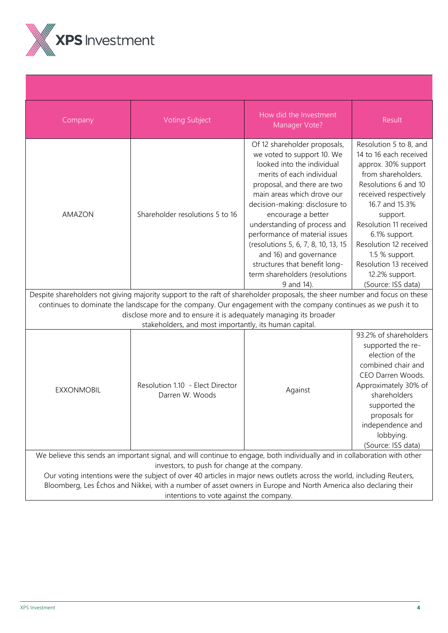

| Company                                                                                                                                                                                                                                                                                                                                                                                                                                                           | <b>Voting Subject</b>                                  | How did the Investment<br>Manager Vote?                                                                                                                                                                                                                                                                                                                                                                                                                        | Result                                                                                                                                                                                                                                                                                                                                |
|-------------------------------------------------------------------------------------------------------------------------------------------------------------------------------------------------------------------------------------------------------------------------------------------------------------------------------------------------------------------------------------------------------------------------------------------------------------------|--------------------------------------------------------|----------------------------------------------------------------------------------------------------------------------------------------------------------------------------------------------------------------------------------------------------------------------------------------------------------------------------------------------------------------------------------------------------------------------------------------------------------------|---------------------------------------------------------------------------------------------------------------------------------------------------------------------------------------------------------------------------------------------------------------------------------------------------------------------------------------|
| AMAZON                                                                                                                                                                                                                                                                                                                                                                                                                                                            | Shareholder resolutions 5 to 16                        | Of 12 shareholder proposals,<br>we voted to support 10. We<br>looked into the individual<br>merits of each individual<br>proposal, and there are two<br>main areas which drove our<br>decision-making: disclosure to<br>encourage a better<br>understanding of process and<br>performance of material issues<br>(resolutions 5, 6, 7, 8, 10, 13, 15<br>and 16) and governance<br>structures that benefit long-<br>term shareholders (resolutions<br>9 and 14). | Resolution 5 to 8, and<br>14 to 16 each received<br>approx. 30% support<br>from shareholders.<br>Resolutions 6 and 10<br>received respectively<br>16.7 and 15.3%<br>support.<br>Resolution 11 received<br>6.1% support.<br>Resolution 12 received<br>1.5 % support.<br>Resolution 13 received<br>12.2% support.<br>(Source: ISS data) |
| Despite shareholders not giving majority support to the raft of shareholder proposals, the sheer number and focus on these                                                                                                                                                                                                                                                                                                                                        |                                                        |                                                                                                                                                                                                                                                                                                                                                                                                                                                                |                                                                                                                                                                                                                                                                                                                                       |
| continues to dominate the landscape for the company. Our engagement with the company continues as we push it to<br>disclose more and to ensure it is adequately managing its broader                                                                                                                                                                                                                                                                              |                                                        |                                                                                                                                                                                                                                                                                                                                                                                                                                                                |                                                                                                                                                                                                                                                                                                                                       |
|                                                                                                                                                                                                                                                                                                                                                                                                                                                                   | stakeholders, and most importantly, its human capital. |                                                                                                                                                                                                                                                                                                                                                                                                                                                                |                                                                                                                                                                                                                                                                                                                                       |
| <b>EXXONMOBIL</b>                                                                                                                                                                                                                                                                                                                                                                                                                                                 | Resolution 1.10 - Elect Director<br>Darren W. Woods    | Against                                                                                                                                                                                                                                                                                                                                                                                                                                                        | 93.2% of shareholders<br>supported the re-<br>election of the<br>combined chair and<br>CEO Darren Woods.<br>Approximately 30% of<br>shareholders<br>supported the<br>proposals for<br>independence and<br>lobbying.<br>(Source: ISS data)                                                                                             |
| We believe this sends an important signal, and will continue to engage, both individually and in collaboration with other<br>investors, to push for change at the company.<br>Our voting intentions were the subject of over 40 articles in major news outlets across the world, including Reuters,<br>Bloomberg, Les Échos and Nikkei, with a number of asset owners in Europe and North America also declaring their<br>intentions to vote against the company. |                                                        |                                                                                                                                                                                                                                                                                                                                                                                                                                                                |                                                                                                                                                                                                                                                                                                                                       |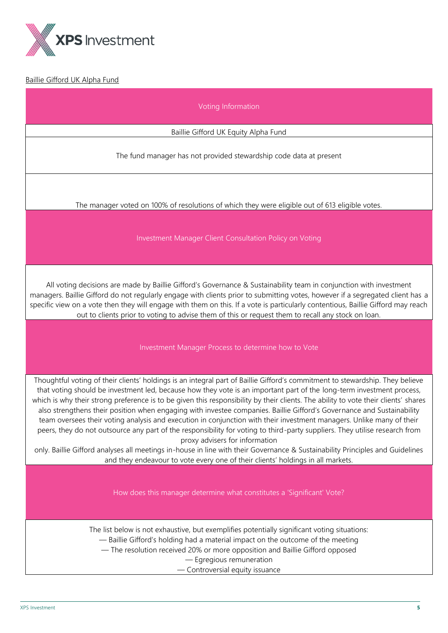

## Baillie Gifford UK Alpha Fund

Voting Information

Baillie Gifford UK Equity Alpha Fund

The fund manager has not provided stewardship code data at present

The manager voted on 100% of resolutions of which they were eligible out of 613 eligible votes.

Investment Manager Client Consultation Policy on Voting

All voting decisions are made by Baillie Gifford's Governance & Sustainability team in conjunction with investment managers. Baillie Gifford do not regularly engage with clients prior to submitting votes, however if a segregated client has a specific view on a vote then they will engage with them on this. If a vote is particularly contentious, Baillie Gifford may reach out to clients prior to voting to advise them of this or request them to recall any stock on loan.

#### Investment Manager Process to determine how to Vote

Thoughtful voting of their clients' holdings is an integral part of Baillie Gifford's commitment to stewardship. They believe that voting should be investment led, because how they vote is an important part of the long-term investment process, which is why their strong preference is to be given this responsibility by their clients. The ability to vote their clients' shares also strengthens their position when engaging with investee companies. Baillie Gifford's Governance and Sustainability team oversees their voting analysis and execution in conjunction with their investment managers. Unlike many of their peers, they do not outsource any part of the responsibility for voting to third-party suppliers. They utilise research from proxy advisers for information

only. Baillie Gifford analyses all meetings in-house in line with their Governance & Sustainability Principles and Guidelines and they endeavour to vote every one of their clients' holdings in all markets.

How does this manager determine what constitutes a 'Significant' Vote?

The list below is not exhaustive, but exemplifies potentially significant voting situations: — Baillie Gifford's holding had a material impact on the outcome of the meeting — The resolution received 20% or more opposition and Baillie Gifford opposed

— Egregious remuneration

— Controversial equity issuance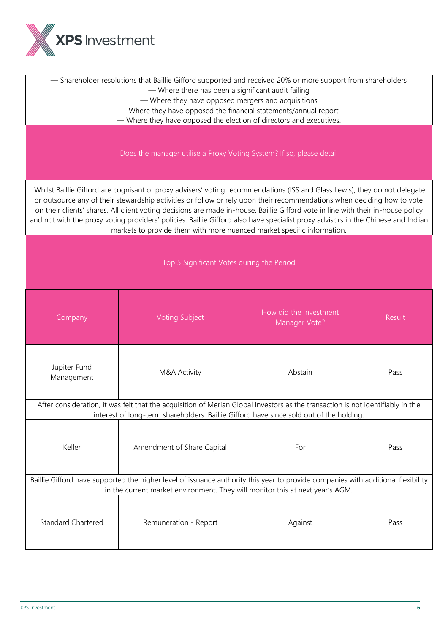

| - Shareholder resolutions that Baillie Gifford supported and received 20% or more support from shareholders<br>- Where there has been a significant audit failing<br>- Where they have opposed mergers and acquisitions<br>- Where they have opposed the financial statements/annual report<br>- Where they have opposed the election of directors and executives.                                                                                                                                                                                                                                      |                            |                                         |        |
|---------------------------------------------------------------------------------------------------------------------------------------------------------------------------------------------------------------------------------------------------------------------------------------------------------------------------------------------------------------------------------------------------------------------------------------------------------------------------------------------------------------------------------------------------------------------------------------------------------|----------------------------|-----------------------------------------|--------|
| Does the manager utilise a Proxy Voting System? If so, please detail                                                                                                                                                                                                                                                                                                                                                                                                                                                                                                                                    |                            |                                         |        |
| Whilst Baillie Gifford are cognisant of proxy advisers' voting recommendations (ISS and Glass Lewis), they do not delegate<br>or outsource any of their stewardship activities or follow or rely upon their recommendations when deciding how to vote<br>on their clients' shares. All client voting decisions are made in-house. Baillie Gifford vote in line with their in-house policy<br>and not with the proxy voting providers' policies. Baillie Gifford also have specialist proxy advisors in the Chinese and Indian<br>markets to provide them with more nuanced market specific information. |                            |                                         |        |
| Top 5 Significant Votes during the Period                                                                                                                                                                                                                                                                                                                                                                                                                                                                                                                                                               |                            |                                         |        |
| Company                                                                                                                                                                                                                                                                                                                                                                                                                                                                                                                                                                                                 | <b>Voting Subject</b>      | How did the Investment<br>Manager Vote? | Result |
| Jupiter Fund<br>Management                                                                                                                                                                                                                                                                                                                                                                                                                                                                                                                                                                              | M&A Activity               | Abstain                                 | Pass   |
| After consideration, it was felt that the acquisition of Merian Global Investors as the transaction is not identifiably in the<br>interest of long-term shareholders. Baillie Gifford have since sold out of the holding.                                                                                                                                                                                                                                                                                                                                                                               |                            |                                         |        |
| Keller                                                                                                                                                                                                                                                                                                                                                                                                                                                                                                                                                                                                  | Amendment of Share Capital | For                                     | Pass   |
| Baillie Gifford have supported the higher level of issuance authority this year to provide companies with additional flexibility<br>in the current market environment. They will monitor this at next year's AGM.                                                                                                                                                                                                                                                                                                                                                                                       |                            |                                         |        |
| <b>Standard Chartered</b>                                                                                                                                                                                                                                                                                                                                                                                                                                                                                                                                                                               | Remuneration - Report      | Against                                 | Pass   |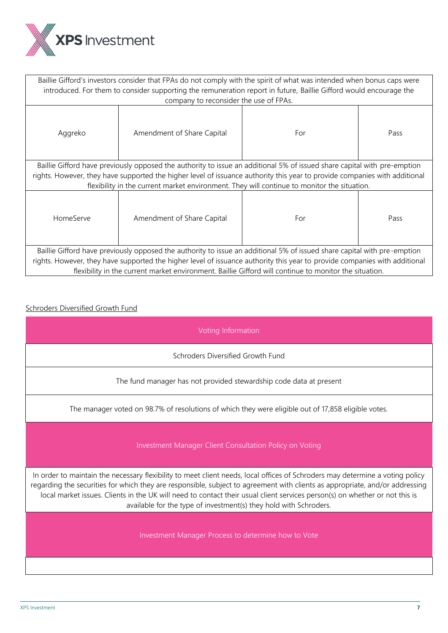

| Baillie Gifford's investors consider that FPAs do not comply with the spirit of what was intended when bonus caps were<br>introduced. For them to consider supporting the remuneration report in future, Baillie Gifford would encourage the |                                                                                                                            |     |      |
|----------------------------------------------------------------------------------------------------------------------------------------------------------------------------------------------------------------------------------------------|----------------------------------------------------------------------------------------------------------------------------|-----|------|
|                                                                                                                                                                                                                                              | company to reconsider the use of FPAs.                                                                                     |     |      |
| Aggreko                                                                                                                                                                                                                                      | Amendment of Share Capital                                                                                                 | For | Pass |
|                                                                                                                                                                                                                                              | Baillie Gifford have previously opposed the authority to issue an additional 5% of issued share capital with pre-emption   |     |      |
|                                                                                                                                                                                                                                              | rights. However, they have supported the higher level of issuance authority this year to provide companies with additional |     |      |
| flexibility in the current market environment. They will continue to monitor the situation.                                                                                                                                                  |                                                                                                                            |     |      |
| HomeServe                                                                                                                                                                                                                                    | Amendment of Share Capital                                                                                                 | For | Pass |
| Baillie Gifford have previously opposed the authority to issue an additional 5% of issued share capital with pre-emption                                                                                                                     |                                                                                                                            |     |      |
| rights. However, they have supported the higher level of issuance authority this year to provide companies with additional                                                                                                                   |                                                                                                                            |     |      |
| flexibility in the current market environment. Baillie Gifford will continue to monitor the situation.                                                                                                                                       |                                                                                                                            |     |      |

## Schroders Diversified Growth Fund

Voting Information

Schroders Diversified Growth Fund

The fund manager has not provided stewardship code data at present

The manager voted on 98.7% of resolutions of which they were eligible out of 17,858 eligible votes.

Investment Manager Client Consultation Policy on Voting

In order to maintain the necessary flexibility to meet client needs, local offices of Schroders may determine a voting policy regarding the securities for which they are responsible, subject to agreement with clients as appropriate, and/or addressing local market issues. Clients in the UK will need to contact their usual client services person(s) on whether or not this is available for the type of investment(s) they hold with Schroders.

Investment Manager Process to determine how to Vote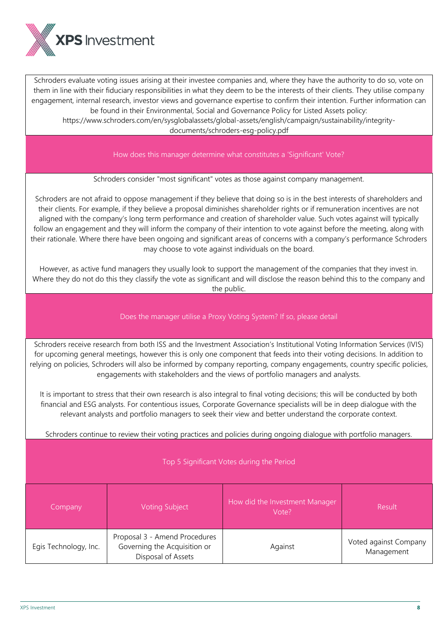

Schroders evaluate voting issues arising at their investee companies and, where they have the authority to do so, vote on them in line with their fiduciary responsibilities in what they deem to be the interests of their clients. They utilise company engagement, internal research, investor views and governance expertise to confirm their intention. Further information can be found in their Environmental, Social and Governance Policy for Listed Assets policy:

https://www.schroders.com/en/sysglobalassets/global-assets/english/campaign/sustainability/integritydocuments/schroders-esg-policy.pdf

How does this manager determine what constitutes a 'Significant' Vote?

Schroders consider "most significant" votes as those against company management.

Schroders are not afraid to oppose management if they believe that doing so is in the best interests of shareholders and their clients. For example, if they believe a proposal diminishes shareholder rights or if remuneration incentives are not aligned with the company's long term performance and creation of shareholder value. Such votes against will typically follow an engagement and they will inform the company of their intention to vote against before the meeting, along with their rationale. Where there have been ongoing and significant areas of concerns with a company's performance Schroders may choose to vote against individuals on the board.

However, as active fund managers they usually look to support the management of the companies that they invest in. Where they do not do this they classify the vote as significant and will disclose the reason behind this to the company and the public.

## Does the manager utilise a Proxy Voting System? If so, please detail

Schroders receive research from both ISS and the Investment Association's Institutional Voting Information Services (IVIS) for upcoming general meetings, however this is only one component that feeds into their voting decisions. In addition to relying on policies, Schroders will also be informed by company reporting, company engagements, country specific policies, engagements with stakeholders and the views of portfolio managers and analysts.

It is important to stress that their own research is also integral to final voting decisions; this will be conducted by both financial and ESG analysts. For contentious issues, Corporate Governance specialists will be in deep dialogue with the relevant analysts and portfolio managers to seek their view and better understand the corporate context.

Schroders continue to review their voting practices and policies during ongoing dialogue with portfolio managers.

#### Top 5 Significant Votes during the Period

| Company               | <b>Voting Subject</b>                                                               | How did the Investment Manager<br>Vote? | Result                              |
|-----------------------|-------------------------------------------------------------------------------------|-----------------------------------------|-------------------------------------|
| Egis Technology, Inc. | Proposal 3 - Amend Procedures<br>Governing the Acquisition or<br>Disposal of Assets | Against                                 | Voted against Company<br>Management |